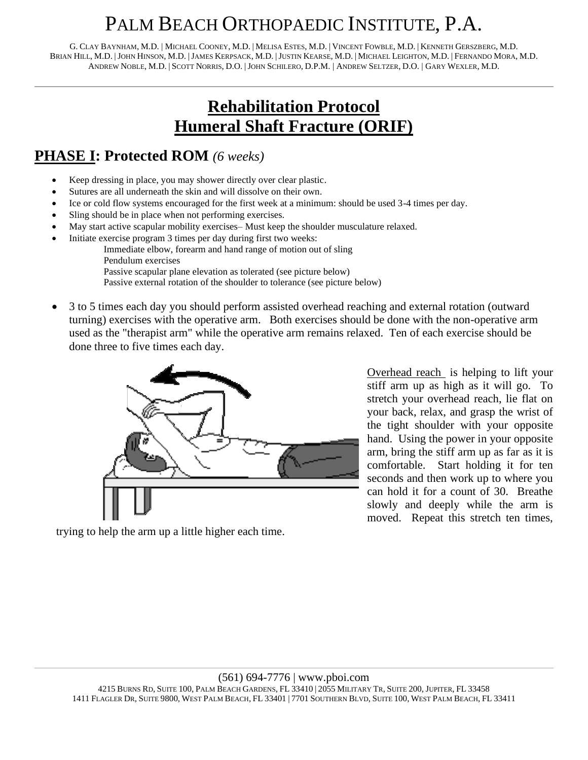# PALM BEACH ORTHOPAEDIC INSTITUTE, P.A.

G. CLAY BAYNHAM, M.D. | MICHAEL COONEY, M.D. | MELISA ESTES, M.D. | VINCENT FOWBLE, M.D. | KENNETH GERSZBERG, M.D. BRIAN HILL, M.D. |JOHN HINSON, M.D. |JAMES KERPSACK, M.D. |JUSTIN KEARSE, M.D. | MICHAEL LEIGHTON, M.D. | FERNANDO MORA, M.D. ANDREW NOBLE, M.D. | SCOTT NORRIS, D.O. |JOHN SCHILERO, D.P.M. | ANDREW SELTZER, D.O. | GARY WEXLER, M.D.

### **Rehabilitation Protocol Humeral Shaft Fracture (ORIF)**

#### **PHASE I: Protected ROM** *(6 weeks)*

- Keep dressing in place, you may shower directly over clear plastic.
- Sutures are all underneath the skin and will dissolve on their own.
- Ice or cold flow systems encouraged for the first week at a minimum: should be used 3-4 times per day.
- Sling should be in place when not performing exercises.
- May start active scapular mobility exercises– Must keep the shoulder musculature relaxed.
- Initiate exercise program 3 times per day during first two weeks:
	- Immediate elbow, forearm and hand range of motion out of sling
		- Pendulum exercises
		- Passive scapular plane elevation as tolerated (see picture below)
		- Passive external rotation of the shoulder to tolerance (see picture below)
- 3 to 5 times each day you should perform assisted overhead reaching and external rotation (outward turning) exercises with the operative arm. Both exercises should be done with the non-operative arm used as the "therapist arm" while the operative arm remains relaxed. Ten of each exercise should be done three to five times each day.



Overhead reach is helping to lift your stiff arm up as high as it will go. To stretch your overhead reach, lie flat on your back, relax, and grasp the wrist of the tight shoulder with your opposite hand. Using the power in your opposite arm, bring the stiff arm up as far as it is comfortable. Start holding it for ten seconds and then work up to where you can hold it for a count of 30. Breathe slowly and deeply while the arm is moved. Repeat this stretch ten times,

trying to help the arm up a little higher each time.